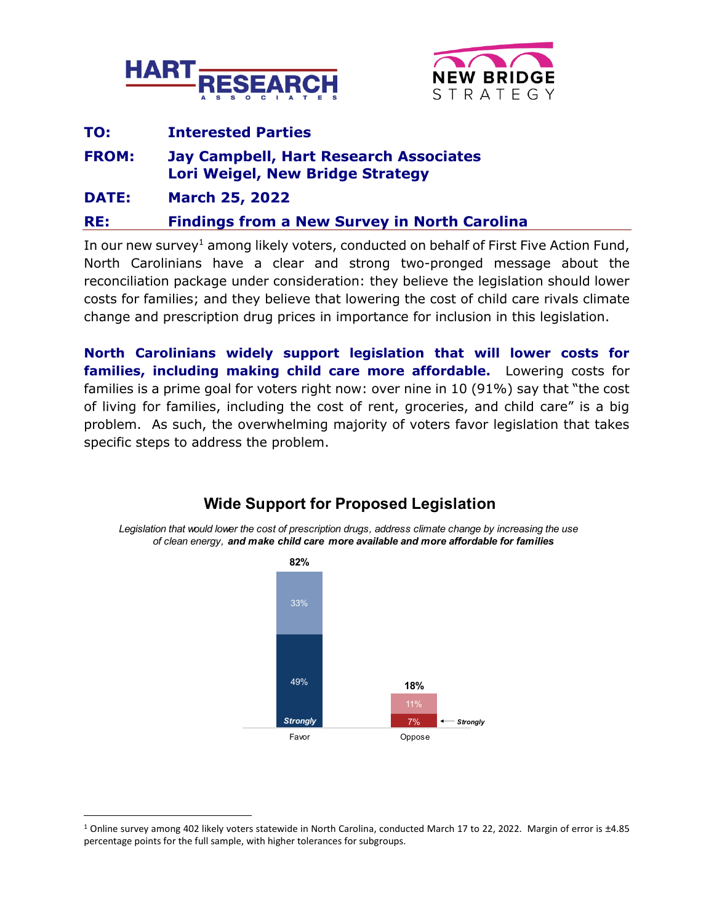



# **TO: Interested Parties FROM: Jay Campbell, Hart Research Associates Lori Weigel, New Bridge Strategy DATE: March 25, 2022 RE: Findings from a New Survey in North Carolina**

In our new survey<sup>1</sup> among likely voters, conducted on behalf of First Five Action Fund, North Carolinians have a clear and strong two-pronged message about the reconciliation package under consideration: they believe the legislation should lower costs for families; and they believe that lowering the cost of child care rivals climate change and prescription drug prices in importance for inclusion in this legislation.

**North Carolinians widely support legislation that will lower costs for families, including making child care more affordable.** Lowering costs for families is a prime goal for voters right now: over nine in 10 (91%) say that "the cost of living for families, including the cost of rent, groceries, and child care" is a big problem. As such, the overwhelming majority of voters favor legislation that takes specific steps to address the problem.



### **Wide Support for Proposed Legislation**

Legislation that would lower the cost of prescription drugs, address climate change by increasing the use

<sup>1</sup> Online survey among 402 likely voters statewide in North Carolina, conducted March 17 to 22, 2022. Margin of error is ±4.85 percentage points for the full sample, with higher tolerances for subgroups.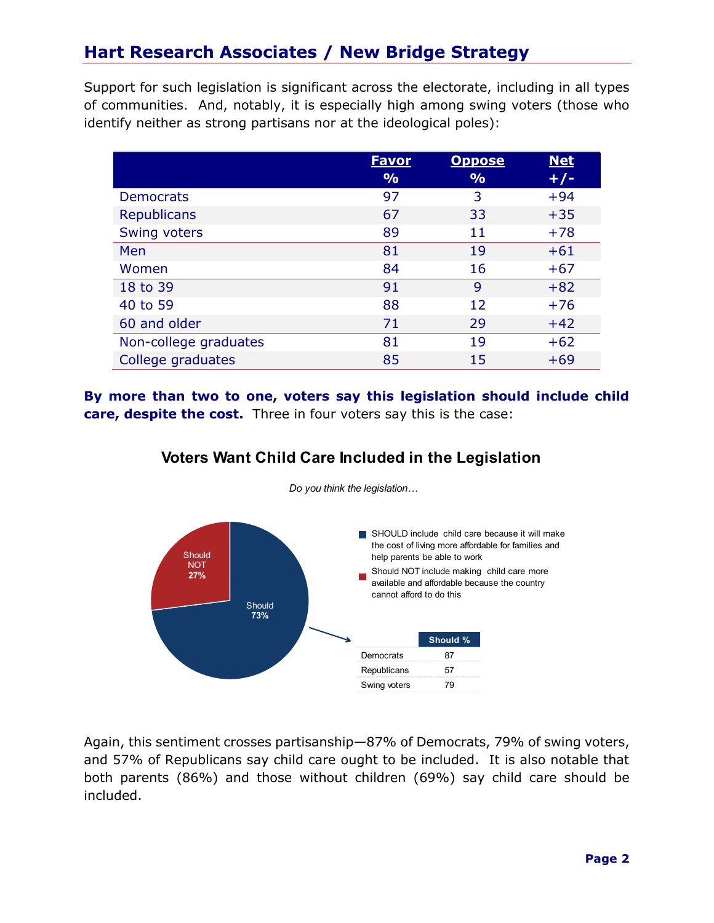## **Hart Research Associates / New Bridge Strategy**

Support for such legislation is significant across the electorate, including in all types of communities. And, notably, it is especially high among swing voters (those who identify neither as strong partisans nor at the ideological poles):

|                       | <b>Favor</b>  | <b>Oppose</b> | <b>Net</b> |
|-----------------------|---------------|---------------|------------|
|                       | $\frac{9}{6}$ | $\frac{9}{0}$ | $+/-$      |
| <b>Democrats</b>      | 97            | 3             | $+94$      |
| <b>Republicans</b>    | 67            | 33            | $+35$      |
| Swing voters          | 89            | 11            | $+78$      |
| Men                   | 81            | 19            | $+61$      |
| Women                 | 84            | 16            | $+67$      |
| 18 to 39              | 91            | 9             | $+82$      |
| 40 to 59              | 88            | 12            | $+76$      |
| 60 and older          | 71            | 29            | $+42$      |
| Non-college graduates | 81            | 19            | $+62$      |
| College graduates     | 85            | 15            | $+69$      |

**By more than two to one, voters say this legislation should include child care, despite the cost.** Three in four voters say this is the case:



Do you think the legislation...

**Voters Want Child Care Included in the Legislation** 

Again, this sentiment crosses partisanship—87% of Democrats, 79% of swing voters, and 57% of Republicans say child care ought to be included. It is also notable that both parents (86%) and those without children (69%) say child care should be included.